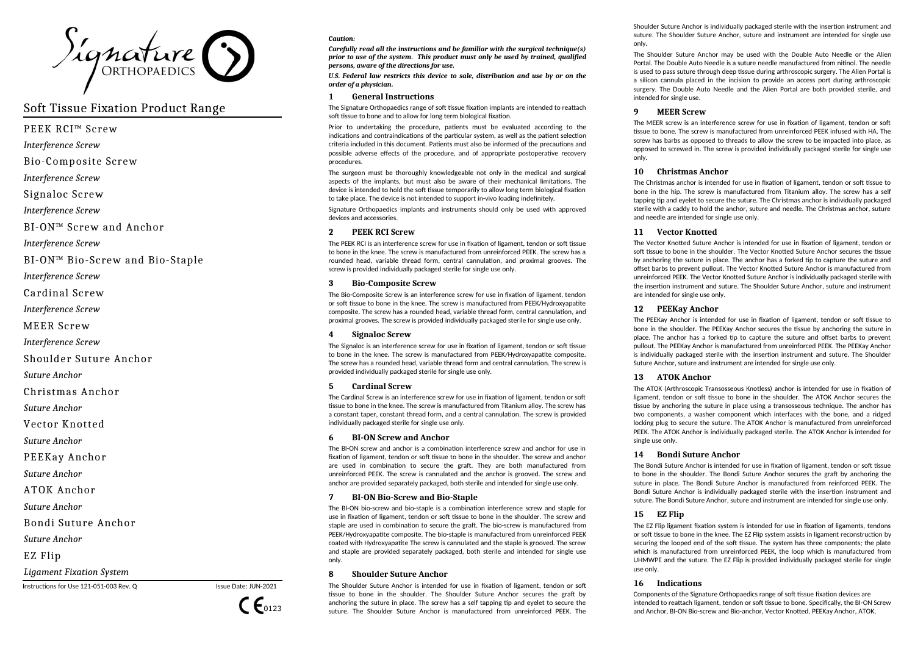

# Soft Tissue Fixation Product Range

PEEK RCI™ Screw

*Interference Screw*

Bio-Composite Screw

*Interference Screw*

Signaloc Screw

*Interference Screw*

BI-ON™ Screw and Anchor

*Interference Screw*

BI-ON™ Bio-Screw and Bio-Staple

*Interference Screw*

Cardinal Screw

*Interference Screw*

MEER Screw

*Interference Screw*

Shoulder Suture Anchor

*Suture Anchor*

Christmas Anchor

*Suture Anchor*

Vector Knotted

*Suture Anchor*

PEEKay Anchor

*Suture Anchor*

ATOK Anchor

*Suture Anchor* 

Bondi Suture Anchor

*Suture Anchor* 

EZ Flip

*Ligament Fixation System*

Instructions for Use 121-051-003 Rev. Q Issue Date: JUN-2021



#### *Caution:*

*Carefully read all the instructions and be familiar with the surgical technique(s) prior to use of the system. This product must only be used by trained, qualified persons, aware of the directions for use.*

*U.S. Federal law restricts this device to sale, distribution and use by or on the order of a physician.*

# **1 General Instructions**

The Signature Orthopaedics range of soft tissue fixation implants are intended to reattach soft tissue to bone and to allow for long term biological fixation.

Prior to undertaking the procedure, patients must be evaluated according to the indications and contraindications of the particular system, as well as the patient selection criteria included in this document. Patients must also be informed of the precautions and possible adverse effects of the procedure, and of appropriate postoperative recovery procedures.

The surgeon must be thoroughly knowledgeable not only in the medical and surgical aspects of the implants, but must also be aware of their mechanical limitations. The device is intended to hold the soft tissue temporarily to allow long term biological fixation to take place. The device is not intended to support in-vivo loading indefinitely.

Signature Orthopaedics implants and instruments should only be used with approved devices and accessories.

# **2 PEEK RCI Screw**

The PEEK RCI is an interference screw for use in fixation of ligament, tendon or soft tissue to bone in the knee. The screw is manufactured from unreinforced PEEK. The screw has a rounded head, variable thread form, central cannulation, and proximal grooves. The screw is provided individually packaged sterile for single use only.

# **3 Bio-Composite Screw**

The Bio-Composite Screw is an interference screw for use in fixation of ligament, tendon or soft tissue to bone in the knee. The screw is manufactured from PEEK/Hydroxyapatite composite. The screw has a rounded head, variable thread form, central cannulation, and proximal grooves. The screw is provided individually packaged sterile for single use only.

# **4 Signaloc Screw**

The Signaloc is an interference screw for use in fixation of ligament, tendon or soft tissue to bone in the knee. The screw is manufactured from PEEK/Hydroxyapatite composite. The screw has a rounded head, variable thread form and central cannulation. The screw is provided individually packaged sterile for single use only.

# **5 Cardinal Screw**

The Cardinal Screw is an interference screw for use in fixation of ligament, tendon or soft tissue to bone in the knee. The screw is manufactured from Titanium alloy. The screw has a constant taper, constant thread form, and a central cannulation. The screw is provided individually packaged sterile for single use only.

# **6 BI-ON Screw and Anchor**

The BI-ON screw and anchor is a combination interference screw and anchor for use in fixation of ligament, tendon or soft tissue to bone in the shoulder. The screw and anchor are used in combination to secure the graft. They are both manufactured from unreinforced PEEK. The screw is cannulated and the anchor is grooved. The screw and anchor are provided separately packaged, both sterile and intended for single use only.

# **7 BI-ON Bio-Screw and Bio-Staple**

The BI-ON bio-screw and bio-staple is a combination interference screw and staple for use in fixation of ligament, tendon or soft tissue to bone in the shoulder. The screw and staple are used in combination to secure the graft. The bio-screw is manufactured from PEEK/Hydroxyapatite composite. The bio-staple is manufactured from unreinforced PEEK coated with Hydroxyapatite The screw is cannulated and the staple is grooved. The screw and staple are provided separately packaged, both sterile and intended for single use only.

# **8 Shoulder Suture Anchor**

The Shoulder Suture Anchor is intended for use in fixation of ligament, tendon or soft tissue to bone in the shoulder. The Shoulder Suture Anchor secures the graft by anchoring the suture in place. The screw has a self tapping tip and eyelet to secure the suture. The Shoulder Suture Anchor is manufactured from unreinforced PEEK. The

Shoulder Suture Anchor is individually packaged sterile with the insertion instrument and suture. The Shoulder Suture Anchor, suture and instrument are intended for single use only.

The Shoulder Suture Anchor may be used with the Double Auto Needle or the Alien Portal. The Double Auto Needle is a suture needle manufactured from nitinol. The needle is used to pass suture through deep tissue during arthroscopic surgery. The Alien Portal is a silicon cannula placed in the incision to provide an access port during arthroscopic surgery. The Double Auto Needle and the Alien Portal are both provided sterile, and intended for single use.

# **9 MEER Screw**

The MEER screw is an interference screw for use in fixation of ligament, tendon or soft tissue to bone. The screw is manufactured from unreinforced PEEK infused with HA. The screw has barbs as opposed to threads to allow the screw to be impacted into place, as opposed to screwed in. The screw is provided individually packaged sterile for single use only.

# **10 Christmas Anchor**

The Christmas anchor is intended for use in fixation of ligament, tendon or soft tissue to bone in the hip. The screw is manufactured from Titanium alloy. The screw has a self tapping tip and eyelet to secure the suture. The Christmas anchor is individually packaged sterile with a caddy to hold the anchor, suture and needle. The Christmas anchor, suture and needle are intended for single use only.

# **11 Vector Knotted**

The Vector Knotted Suture Anchor is intended for use in fixation of ligament, tendon or soft tissue to bone in the shoulder. The Vector Knotted Suture Anchor secures the tissue by anchoring the suture in place. The anchor has a forked tip to capture the suture and offset barbs to prevent pullout. The Vector Knotted Suture Anchor is manufactured from unreinforced PEEK. The Vector Knotted Suture Anchor is individually packaged sterile with the insertion instrument and suture. The Shoulder Suture Anchor, suture and instrument are intended for single use only.

# **12 PEEKay Anchor**

The PEEKay Anchor is intended for use in fixation of ligament, tendon or soft tissue to bone in the shoulder. The PEEKay Anchor secures the tissue by anchoring the suture in place. The anchor has a forked tip to capture the suture and offset barbs to prevent pullout. The PEEKay Anchor is manufactured from unreinforced PEEK. The PEEKay Anchor is individually packaged sterile with the insertion instrument and suture. The Shoulder Suture Anchor, suture and instrument are intended for single use only.

# **13 ATOK Anchor**

The ATOK (Arthroscopic Transosseous Knotless) anchor is intended for use in fixation of ligament, tendon or soft tissue to bone in the shoulder. The ATOK Anchor secures the tissue by anchoring the suture in place using a transosseous technique. The anchor has two components, a washer component which interfaces with the bone, and a ridged locking plug to secure the suture. The ATOK Anchor is manufactured from unreinforced PEEK. The ATOK Anchor is individually packaged sterile. The ATOK Anchor is intended for single use only.

# **14 Bondi Suture Anchor**

The Bondi Suture Anchor is intended for use in fixation of ligament, tendon or soft tissue to bone in the shoulder. The Bondi Suture Anchor secures the graft by anchoring the suture in place. The Bondi Suture Anchor is manufactured from reinforced PEEK. The Bondi Suture Anchor is individually packaged sterile with the insertion instrument and suture. The Bondi Suture Anchor, suture and instrument are intended for single use only.

# **15 EZ Flip**

The EZ Flip ligament fixation system is intended for use in fixation of ligaments, tendons or soft tissue to bone in the knee. The EZ Flip system assists in ligament reconstruction by securing the looped end of the soft tissue. The system has three components; the plate which is manufactured from unreinforced PEEK, the loop which is manufactured from UHMWPE and the suture. The EZ Flip is provided individually packaged sterile for single use only.

# **16 Indications**

Components of the Signature Orthopaedics range of soft tissue fixation devices are intended to reattach ligament, tendon or soft tissue to bone. Specifically, the BI-ON Screw and Anchor, BI-ON Bio-screw and Bio-anchor, Vector Knotted, PEEKay Anchor, ATOK,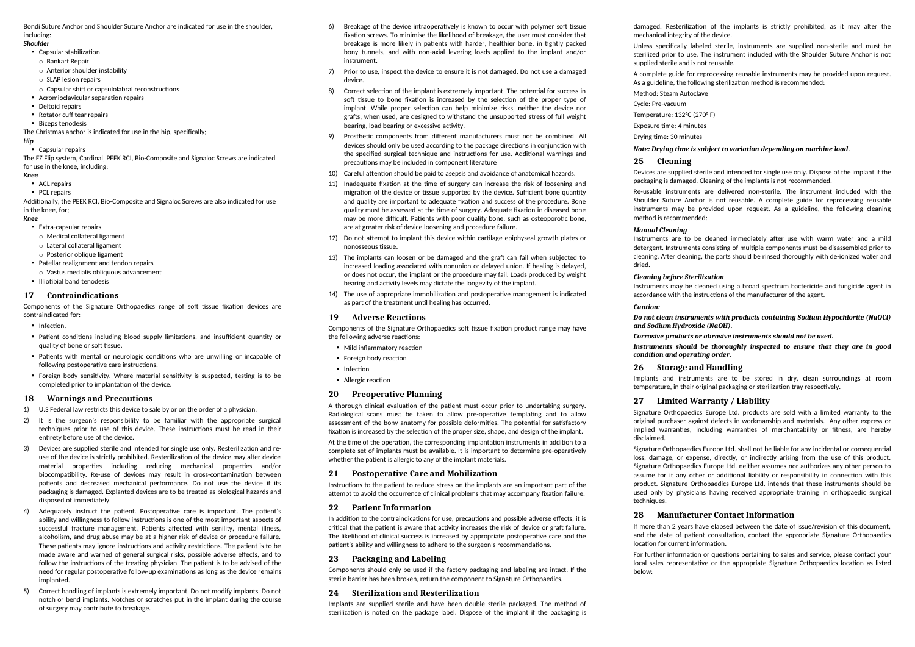Bondi Suture Anchor and Shoulder Suture Anchor are indicated for use in the shoulder, including:

#### *Shoulder*

- Capsular stabilization
- o Bankart Repair
- o Anterior shoulder instability
- o SLAP lesion repairs
- o Capsular shift or capsulolabral reconstructions
- Acromioclavicular separation repairs
- Deltoid repairs
- Rotator cuff tear repairs
- Biceps tenodesis
- The Christmas anchor is indicated for use in the hip, specifically:

# *Hip*

• Capsular repairs

The EZ Flip system, Cardinal, PEEK RCI, Bio-Composite and Signaloc Screws are indicated for use in the knee, including: *Knee*

- ACL repairs
- PCL repairs

Additionally, the PEEK RCI, Bio-Composite and Signaloc Screws are also indicated for use in the knee, for;

#### *Knee*

- Extra-capsular repairs
- o Medical collateral ligament
- o Lateral collateral ligament
- o Posterior oblique ligament
- Patellar realignment and tendon repairs
- o Vastus medialis obliquous advancement
- Illiotibial band tenodesis

# **17 Contraindications**

Components of the Signature Orthopaedics range of soft tissue fixation devices are contraindicated for:

- Infection
- Patient conditions including blood supply limitations, and insufficient quantity or quality of bone or soft tissue.
- Patients with mental or neurologic conditions who are unwilling or incapable of following postoperative care instructions.
- Foreign body sensitivity. Where material sensitivity is suspected, testing is to be completed prior to implantation of the device.

# **18 Warnings and Precautions**

- 1) U.S Federal law restricts this device to sale by or on the order of a physician.
- 2) It is the surgeon's responsibility to be familiar with the appropriate surgical techniques prior to use of this device. These instructions must be read in their entirety before use of the device.
- 3) Devices are supplied sterile and intended for single use only. Resterilization and reuse of the device is strictly prohibited. Resterilization of the device may alter device material properties including reducing mechanical properties and/or biocompatibility. Re-use of devices may result in cross-contamination between patients and decreased mechanical performance. Do not use the device if its packaging is damaged. Explanted devices are to be treated as biological hazards and disposed of immediately.
- 4) Adequately instruct the patient. Postoperative care is important. The patient's ability and willingness to follow instructions is one of the most important aspects of successful fracture management. Patients affected with senility, mental illness, alcoholism, and drug abuse may be at a higher risk of device or procedure failure. These patients may ignore instructions and activity restrictions. The patient is to be made aware and warned of general surgical risks, possible adverse effects, and to follow the instructions of the treating physician. The patient is to be advised of the need for regular postoperative follow-up examinations as long as the device remains implanted.
- 5) Correct handling of implants is extremely important. Do not modify implants. Do not notch or bend implants. Notches or scratches put in the implant during the course of surgery may contribute to breakage.
- 6) Breakage of the device intraoperatively is known to occur with polymer soft tissue fixation screws. To minimise the likelihood of breakage, the user must consider that breakage is more likely in patients with harder, healthier bone, in tightly packed bony tunnels, and with non-axial levering loads applied to the implant and/or instrument.
- 7) Prior to use, inspect the device to ensure it is not damaged. Do not use a damaged device.
- 8) Correct selection of the implant is extremely important. The potential for success in soft tissue to bone fixation is increased by the selection of the proper type of implant. While proper selection can help minimize risks, neither the device nor grafts, when used, are designed to withstand the unsupported stress of full weight bearing, load bearing or excessive activity.
- 9) Prosthetic components from different manufacturers must not be combined. All devices should only be used according to the package directions in conjunction with the specified surgical technique and instructions for use. Additional warnings and precautions may be included in component literature
- 10) Careful attention should be paid to asepsis and avoidance of anatomical hazards.
- 11) Inadequate fixation at the time of surgery can increase the risk of loosening and migration of the device or tissue supported by the device. Sufficient bone quantity and quality are important to adequate fixation and success of the procedure. Bone quality must be assessed at the time of surgery. Adequate fixation in diseased bone may be more difficult. Patients with poor quality bone, such as osteoporotic bone, are at greater risk of device loosening and procedure failure.
- 12) Do not attempt to implant this device within cartilage epiphyseal growth plates or nonosseous tissue.
- 13) The implants can loosen or be damaged and the graft can fail when subjected to increased loading associated with nonunion or delayed union. If healing is delayed, or does not occur, the implant or the procedure may fail. Loads produced by weight bearing and activity levels may dictate the longevity of the implant.
- 14) The use of appropriate immobilization and postoperative management is indicated as part of the treatment until healing has occurred.

# **19 Adverse Reactions**

Components of the Signature Orthopaedics soft tissue fixation product range may have the following adverse reactions:

- Mild inflammatory reaction
- Foreign body reaction
- Infection
- Allergic reaction

# **20 Preoperative Planning**

A thorough clinical evaluation of the patient must occur prior to undertaking surgery. Radiological scans must be taken to allow pre-operative templating and to allow assessment of the bony anatomy for possible deformities. The potential for satisfactory fixation is increased by the selection of the proper size, shape, and design of the implant.

At the time of the operation, the corresponding implantation instruments in addition to a complete set of implants must be available. It is important to determine pre-operatively whether the patient is allergic to any of the implant materials.

# **21 Postoperative Care and Mobilization**

Instructions to the patient to reduce stress on the implants are an important part of the attempt to avoid the occurrence of clinical problems that may accompany fixation failure.

# **22 Patient Information**

In addition to the contraindications for use, precautions and possible adverse effects, it is critical that the patient is aware that activity increases the risk of device or graft failure. The likelihood of clinical success is increased by appropriate postoperative care and the patient's ability and willingness to adhere to the surgeon's recommendations.

# **23 Packaging and Labeling**

Components should only be used if the factory packaging and labeling are intact. If the sterile barrier has been broken, return the component to Signature Orthopaedics.

# **24 Sterilization and Resterilization**

Implants are supplied sterile and have been double sterile packaged. The method of sterilization is noted on the package label. Dispose of the implant if the packaging is damaged. Resterilization of the implants is strictly prohibited, as it may alter the mechanical integrity of the device.

Unless specifically labeled sterile, instruments are supplied non-sterile and must be sterilized prior to use. The instrument included with the Shoulder Suture Anchor is not supplied sterile and is not reusable.

A complete guide for reprocessing reusable instruments may be provided upon request. As a guideline, the following sterilization method is recommended:

Method: Steam Autoclave

Cycle: Pre-vacuum

Temperature: 132°C (270° F)

Exposure time: 4 minutes

Drying time: 30 minutes

#### *Note: Drying time is subject to variation depending on machine load.*

### **25 Cleaning**

Devices are supplied sterile and intended for single use only. Dispose of the implant if the packaging is damaged. Cleaning of the implants is not recommended.

Re-usable instruments are delivered non-sterile. The instrument included with the Shoulder Suture Anchor is not reusable. A complete guide for reprocessing reusable instruments may be provided upon request. As a guideline, the following cleaning method is recommended:

#### *Manual Cleaning*

Instruments are to be cleaned immediately after use with warm water and a mild detergent. Instruments consisting of multiple components must be disassembled prior to cleaning. After cleaning, the parts should be rinsed thoroughly with de-ionized water and dried.

#### *Cleaning before Sterilization*

Instruments may be cleaned using a broad spectrum bactericide and fungicide agent in accordance with the instructions of the manufacturer of the agent.

#### *Caution:*

*Do not clean instruments with products containing Sodium Hypochlorite (NaOCl) and Sodium Hydroxide (NaOH).*

*Corrosive products or abrasive instruments should not be used.*

*Instruments should be thoroughly inspected to ensure that they are in good condition and operating order.*

#### **26 Storage and Handling**

Implants and instruments are to be stored in dry, clean surroundings at room temperature, in their original packaging or sterilization tray respectively.

# **27 Limited Warranty / Liability**

Signature Orthopaedics Europe Ltd. products are sold with a limited warranty to the original purchaser against defects in workmanship and materials. Any other express or implied warranties, including warranties of merchantability or fitness, are hereby disclaimed.

Signature Orthopaedics Europe Ltd. shall not be liable for any incidental or consequential loss, damage, or expense, directly, or indirectly arising from the use of this product. Signature Orthopaedics Europe Ltd. neither assumes nor authorizes any other person to assume for it any other or additional liability or responsibility in connection with this product. Signature Orthopaedics Europe Ltd. intends that these instruments should be used only by physicians having received appropriate training in orthopaedic surgical techniques.

# **28 Manufacturer Contact Information**

If more than 2 years have elapsed between the date of issue/revision of this document, and the date of patient consultation, contact the appropriate Signature Orthopaedics location for current information.

For further information or questions pertaining to sales and service, please contact your local sales representative or the appropriate Signature Orthopaedics location as listed below: